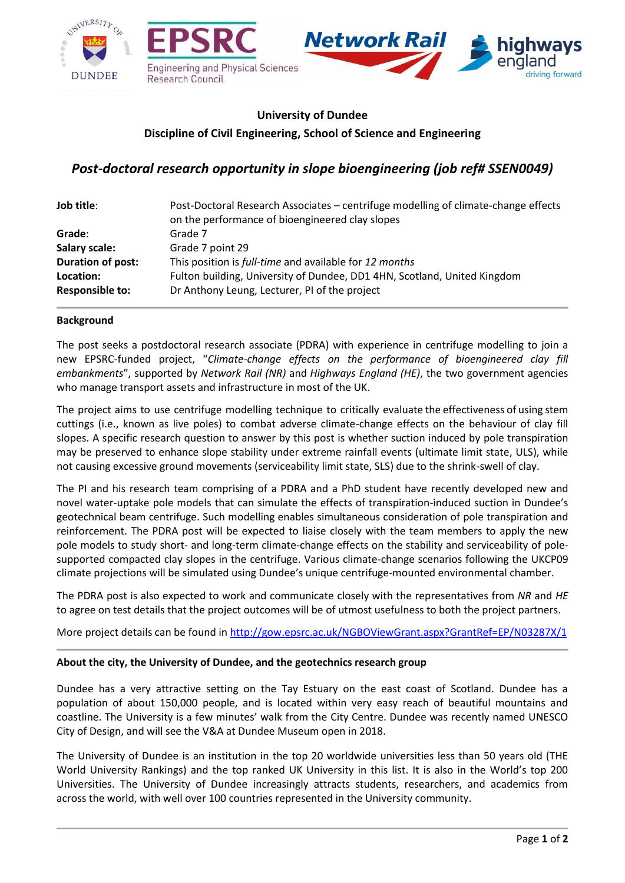

# **University of Dundee Discipline of Civil Engineering, School of Science and Engineering**

# *Post-doctoral research opportunity in slope bioengineering (job ref# SSEN0049)*

| Job title:             | Post-Doctoral Research Associates – centrifuge modelling of climate-change effects<br>on the performance of bioengineered clay slopes |
|------------------------|---------------------------------------------------------------------------------------------------------------------------------------|
| Grade:                 | Grade 7                                                                                                                               |
| <b>Salary scale:</b>   | Grade 7 point 29                                                                                                                      |
| Duration of post:      | This position is full-time and available for 12 months                                                                                |
| Location:              | Fulton building, University of Dundee, DD1 4HN, Scotland, United Kingdom                                                              |
| <b>Responsible to:</b> | Dr Anthony Leung, Lecturer, PI of the project                                                                                         |

### **Background**

The post seeks a postdoctoral research associate (PDRA) with experience in centrifuge modelling to join a new EPSRC-funded project, "*Climate-change effects on the performance of bioengineered clay fill embankments*", supported by *Network Rail (NR)* and *Highways England (HE)*, the two government agencies who manage transport assets and infrastructure in most of the UK.

The project aims to use centrifuge modelling technique to critically evaluate the effectiveness of using stem cuttings (i.e., known as live poles) to combat adverse climate-change effects on the behaviour of clay fill slopes. A specific research question to answer by this post is whether suction induced by pole transpiration may be preserved to enhance slope stability under extreme rainfall events (ultimate limit state, ULS), while not causing excessive ground movements (serviceability limit state, SLS) due to the shrink-swell of clay.

The PI and his research team comprising of a PDRA and a PhD student have recently developed new and novel water-uptake pole models that can simulate the effects of transpiration-induced suction in Dundee's geotechnical beam centrifuge. Such modelling enables simultaneous consideration of pole transpiration and reinforcement. The PDRA post will be expected to liaise closely with the team members to apply the new pole models to study short- and long-term climate-change effects on the stability and serviceability of polesupported compacted clay slopes in the centrifuge. Various climate-change scenarios following the UKCP09 climate projections will be simulated using Dundee's unique centrifuge-mounted environmental chamber.

The PDRA post is also expected to work and communicate closely with the representatives from *NR* and *HE* to agree on test details that the project outcomes will be of utmost usefulness to both the project partners.

More project details can be found in <http://gow.epsrc.ac.uk/NGBOViewGrant.aspx?GrantRef=EP/N03287X/1>

#### **About the city, the University of Dundee, and the geotechnics research group**

Dundee has a very attractive setting on the Tay Estuary on the east coast of Scotland. Dundee has a population of about 150,000 people, and is located within very easy reach of beautiful mountains and coastline. The University is a few minutes' walk from the City Centre. Dundee was recently named UNESCO City of Design, and will see the V&A at Dundee Museum open in 2018.

The University of Dundee is an institution in the top 20 worldwide universities less than 50 years old (THE World University Rankings) and the top ranked UK University in this list. It is also in the World's top 200 Universities. The University of Dundee increasingly attracts students, researchers, and academics from across the world, with well over 100 countries represented in the University community.